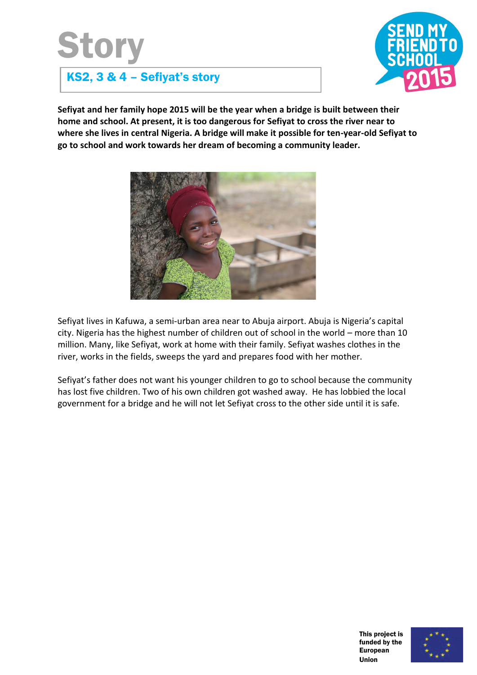## Story



## KS2, 3 & 4 – Sefiyat's story

**Sefiyat and her family hope 2015 will be the year when a bridge is built between their home and school. At present, it is too dangerous for Sefiyat to cross the river near to where she lives in central Nigeria. A bridge will make it possible for ten-year-old Sefiyat to go to school and work towards her dream of becoming a community leader.** 



Sefiyat lives in Kafuwa, a semi-urban area near to Abuja airport. Abuja is Nigeria's capital city. Nigeria has the highest number of children out of school in the world – more than 10 million. Many, like Sefiyat, work at home with their family. Sefiyat washes clothes in the river, works in the fields, sweeps the yard and prepares food with her mother.

Sefiyat's father does not want his younger children to go to school because the community has lost five children. Two of his own children got washed away. He has lobbied the local government for a bridge and he will not let Sefiyat cross to the other side until it is safe.